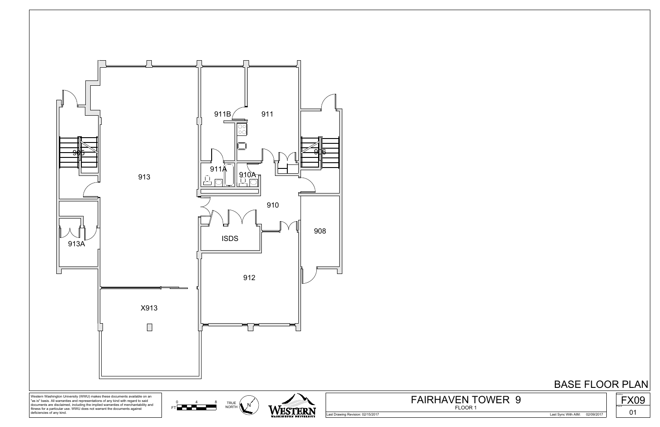

Last Drawing Revision: 02/15/2017 Last Sync With AIM: 02/09/2017



FLOOR 1 FAIRHAVEN TOWER 9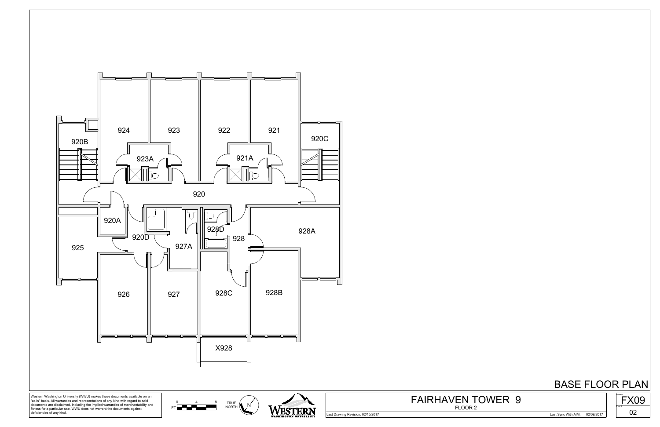

"as is" basis. All warranties and representations of any kind with regard to said documents are disclaimed, including the implied warranties of merchantability and fitness for a particular use. WWU does not warrant the documents against deficiencies of any kind.

Last Drawing Revision: 02/15/2017 Last Sync With AIM: 02/09/2017



FLOOR 2 FAIRHAVEN TOWER 9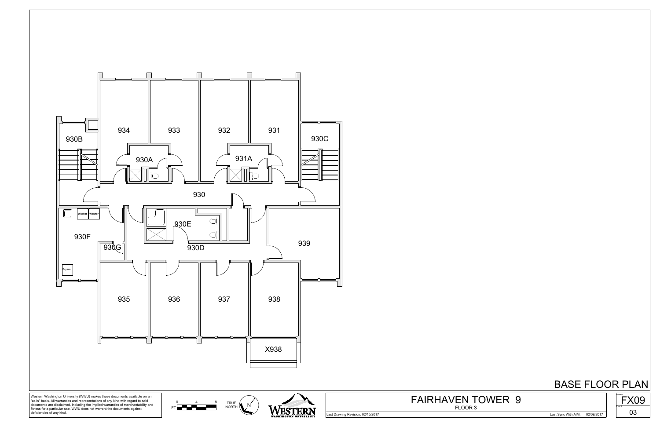

Last Drawing Revision: 02/15/2017 Last Sync With AIM: 02/09/2017



FLOOR 3 FAIRHAVEN TOWER 9